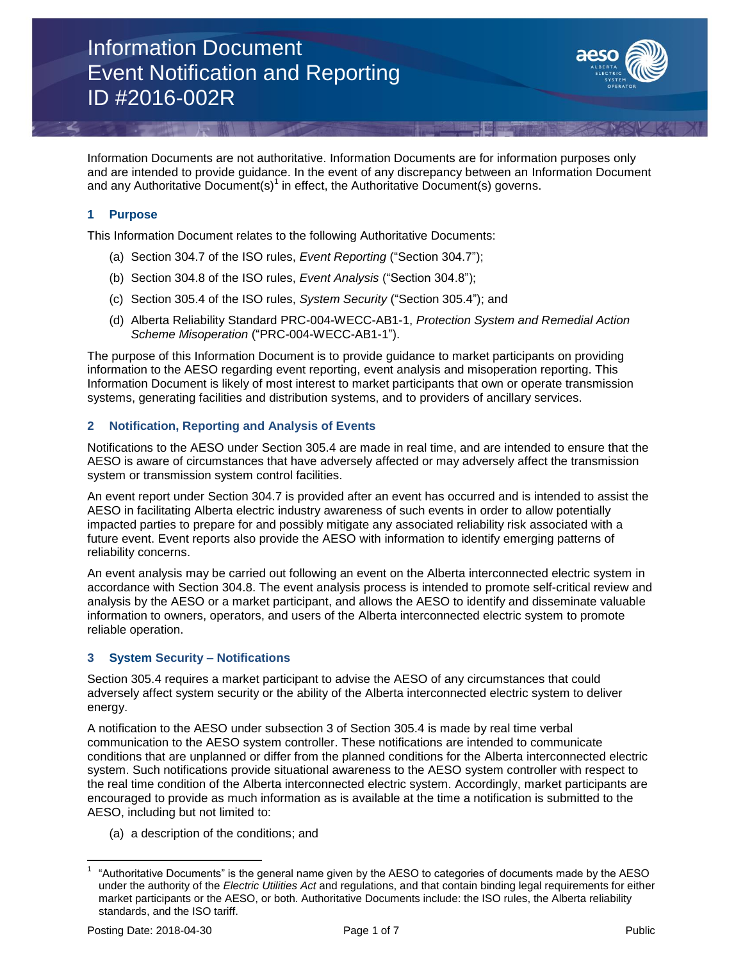

Information Documents are not authoritative. Information Documents are for information purposes only and are intended to provide guidance. In the event of any discrepancy between an Information Document and any Authoritative Document(s)<sup>1</sup> in effect, the Authoritative Document(s) governs.

# **1 Purpose**

This Information Document relates to the following Authoritative Documents:

- (a) Section 304.7 of the ISO rules, *Event Reporting* ("Section 304.7");
- (b) Section 304.8 of the ISO rules, *Event Analysis* ("Section 304.8");
- (c) Section 305.4 of the ISO rules, *System Security* ("Section 305.4"); and
- (d) Alberta Reliability Standard PRC-004-WECC-AB1-1, *Protection System and Remedial Action Scheme Misoperation* ("PRC-004-WECC-AB1-1").

The purpose of this Information Document is to provide guidance to market participants on providing information to the AESO regarding event reporting, event analysis and misoperation reporting. This Information Document is likely of most interest to market participants that own or operate transmission systems, generating facilities and distribution systems, and to providers of ancillary services.

# **2 Notification, Reporting and Analysis of Events**

Notifications to the AESO under Section 305.4 are made in real time, and are intended to ensure that the AESO is aware of circumstances that have adversely affected or may adversely affect the transmission system or transmission system control facilities.

An event report under Section 304.7 is provided after an event has occurred and is intended to assist the AESO in facilitating Alberta electric industry awareness of such events in order to allow potentially impacted parties to prepare for and possibly mitigate any associated reliability risk associated with a future event. Event reports also provide the AESO with information to identify emerging patterns of reliability concerns.

An event analysis may be carried out following an event on the Alberta interconnected electric system in accordance with Section 304.8. The event analysis process is intended to promote self-critical review and analysis by the AESO or a market participant, and allows the AESO to identify and disseminate valuable information to owners, operators, and users of the Alberta interconnected electric system to promote reliable operation.

# **3 System Security – Notifications**

Section 305.4 requires a market participant to advise the AESO of any circumstances that could adversely affect system security or the ability of the Alberta interconnected electric system to deliver energy.

A notification to the AESO under subsection 3 of Section 305.4 is made by real time verbal communication to the AESO system controller. These notifications are intended to communicate conditions that are unplanned or differ from the planned conditions for the Alberta interconnected electric system. Such notifications provide situational awareness to the AESO system controller with respect to the real time condition of the Alberta interconnected electric system. Accordingly, market participants are encouraged to provide as much information as is available at the time a notification is submitted to the AESO, including but not limited to:

(a) a description of the conditions; and

 $\overline{\phantom{a}}$ 1 "Authoritative Documents" is the general name given by the AESO to categories of documents made by the AESO under the authority of the *Electric Utilities Act* and regulations, and that contain binding legal requirements for either market participants or the AESO, or both. Authoritative Documents include: the ISO rules, the Alberta reliability standards, and the ISO tariff.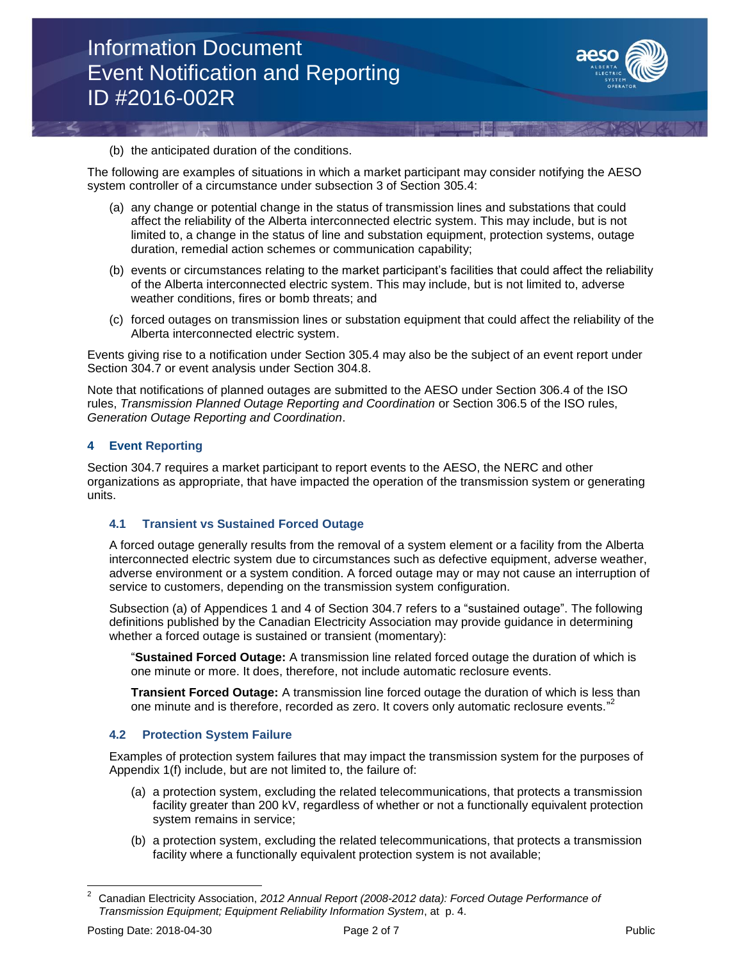

#### (b) the anticipated duration of the conditions.

The following are examples of situations in which a market participant may consider notifying the AESO system controller of a circumstance under subsection 3 of Section 305.4:

- (a) any change or potential change in the status of transmission lines and substations that could affect the reliability of the Alberta interconnected electric system. This may include, but is not limited to, a change in the status of line and substation equipment, protection systems, outage duration, remedial action schemes or communication capability;
- (b) events or circumstances relating to the market participant's facilities that could affect the reliability of the Alberta interconnected electric system. This may include, but is not limited to, adverse weather conditions, fires or bomb threats; and
- (c) forced outages on transmission lines or substation equipment that could affect the reliability of the Alberta interconnected electric system.

Events giving rise to a notification under Section 305.4 may also be the subject of an event report under Section 304.7 or event analysis under Section 304.8.

Note that notifications of planned outages are submitted to the AESO under Section 306.4 of the ISO rules, *Transmission Planned Outage Reporting and Coordination* or Section 306.5 of the ISO rules, *Generation Outage Reporting and Coordination*.

# **4 Event Reporting**

Section 304.7 requires a market participant to report events to the AESO, the NERC and other organizations as appropriate, that have impacted the operation of the transmission system or generating units.

# **4.1 Transient vs Sustained Forced Outage**

A forced outage generally results from the removal of a system element or a facility from the Alberta interconnected electric system due to circumstances such as defective equipment, adverse weather, adverse environment or a system condition. A forced outage may or may not cause an interruption of service to customers, depending on the transmission system configuration.

Subsection (a) of Appendices 1 and 4 of Section 304.7 refers to a "sustained outage". The following definitions published by the Canadian Electricity Association may provide guidance in determining whether a forced outage is sustained or transient (momentary):

"**Sustained Forced Outage:** A transmission line related forced outage the duration of which is one minute or more. It does, therefore, not include automatic reclosure events.

**Transient Forced Outage:** A transmission line forced outage the duration of which is less than one minute and is therefore, recorded as zero. It covers only automatic reclosure events." 2

# **4.2 Protection System Failure**

Examples of protection system failures that may impact the transmission system for the purposes of Appendix 1(f) include, but are not limited to, the failure of:

- (a) a protection system, excluding the related telecommunications, that protects a transmission facility greater than 200 kV, regardless of whether or not a functionally equivalent protection system remains in service;
- (b) a protection system, excluding the related telecommunications, that protects a transmission facility where a functionally equivalent protection system is not available;

 $\overline{a}$ 

<sup>2</sup> Canadian Electricity Association, *2012 Annual Report (2008-2012 data): Forced Outage Performance of Transmission Equipment; Equipment Reliability Information System*, at p. 4.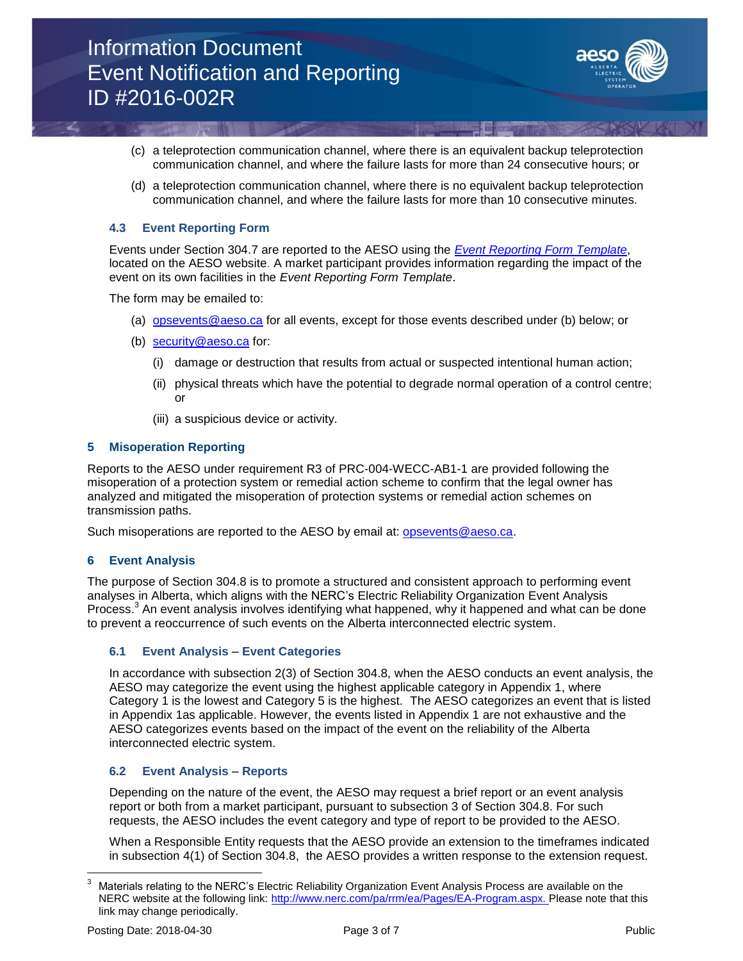

- (c) a teleprotection communication channel, where there is an equivalent backup teleprotection communication channel, and where the failure lasts for more than 24 consecutive hours; or
- (d) a teleprotection communication channel, where there is no equivalent backup teleprotection communication channel, and where the failure lasts for more than 10 consecutive minutes.

# **4.3 Event Reporting Form**

Events under Section 304.7 are reported to the AESO using the *[Event Reporting Form Template](https://www.aeso.ca/rules-standards-and-tariff/iso-rules/section-304-7/)*, located on the AESO website. A market participant provides information regarding the impact of the event on its own facilities in the *Event Reporting Form Template*.

The form may be emailed to:

- (a) [opsevents@aeso.ca](mailto:opsevents@aeso.ca) for all events, except for those events described under (b) below; or
- (b) [security@aeso.ca](mailto:XXXX@aeso.ca) for:
	- (i) damage or destruction that results from actual or suspected intentional human action;
	- (ii) physical threats which have the potential to degrade normal operation of a control centre; or
	- (iii) a suspicious device or activity.

# **5 Misoperation Reporting**

Reports to the AESO under requirement R3 of PRC-004-WECC-AB1-1 are provided following the misoperation of a protection system or remedial action scheme to confirm that the legal owner has analyzed and mitigated the misoperation of protection systems or remedial action schemes on transmission paths.

Such misoperations are reported to the AESO by email at: [opsevents@aeso.ca.](mailto:opsevents@aeso.ca)

# **6 Event Analysis**

The purpose of Section 304.8 is to promote a structured and consistent approach to performing event analyses in Alberta, which aligns with the NERC's Electric Reliability Organization Event Analysis Process.<sup>3</sup> An event analysis involves identifying what happened, why it happened and what can be done to prevent a reoccurrence of such events on the Alberta interconnected electric system.

# **6.1 Event Analysis – Event Categories**

In accordance with subsection 2(3) of Section 304.8, when the AESO conducts an event analysis, the AESO may categorize the event using the highest applicable category in Appendix 1, where Category 1 is the lowest and Category 5 is the highest. The AESO categorizes an event that is listed in Appendix 1as applicable. However, the events listed in Appendix 1 are not exhaustive and the AESO categorizes events based on the impact of the event on the reliability of the Alberta interconnected electric system.

# **6.2 Event Analysis – Reports**

Depending on the nature of the event, the AESO may request a brief report or an event analysis report or both from a market participant, pursuant to subsection 3 of Section 304.8. For such requests, the AESO includes the event category and type of report to be provided to the AESO.

When a Responsible Entity requests that the AESO provide an extension to the timeframes indicated in subsection 4(1) of Section 304.8, the AESO provides a written response to the extension request.

l <sup>3</sup> Materials relating to the NERC's Electric Reliability Organization Event Analysis Process are available on the NERC website at the following link: [http://www.nerc.com/pa/rrm/ea/Pages/EA-Program.aspx.](http://www.nerc.com/pa/rrm/ea/Pages/EA-Program.aspx) Please note that this link may change periodically.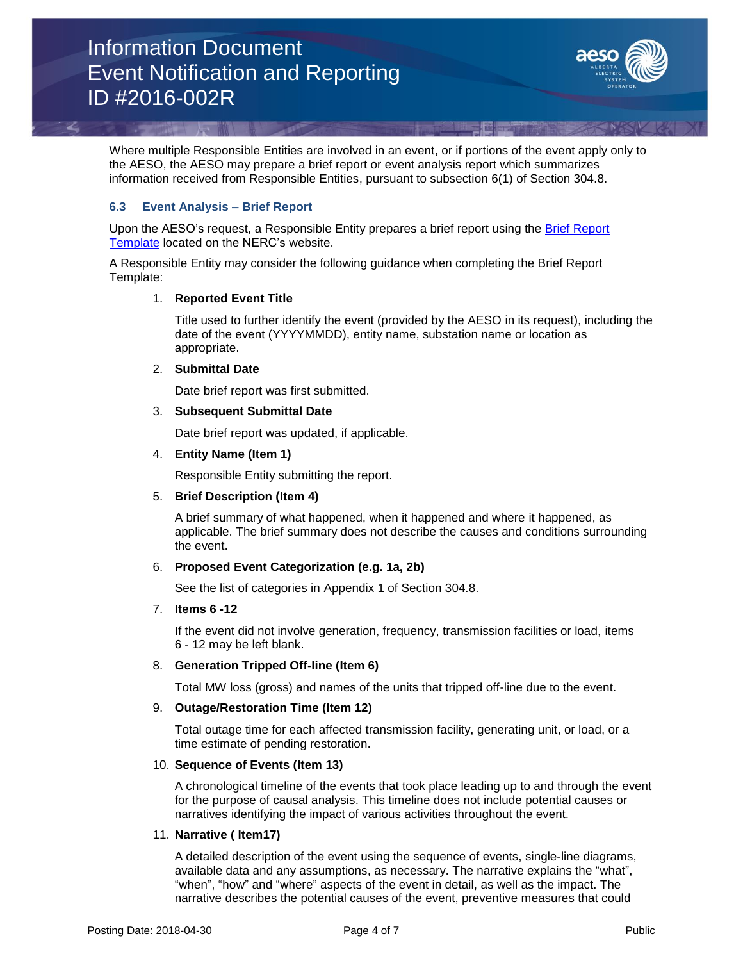

Where multiple Responsible Entities are involved in an event, or if portions of the event apply only to the AESO, the AESO may prepare a brief report or event analysis report which summarizes information received from Responsible Entities, pursuant to subsection 6(1) of Section 304.8.

# **6.3 Event Analysis – Brief Report**

Upon the AESO's request, a Responsible Entity prepares a brief report using the [Brief Report](http://www.nerc.com/pa/rrm/ea/ERO_EAP_Documents%20DL/Clean%20Appendix%20C%20-%20Brief%20Report%20Template%20V3.1.docx)  [Template](http://www.nerc.com/pa/rrm/ea/ERO_EAP_Documents%20DL/Clean%20Appendix%20C%20-%20Brief%20Report%20Template%20V3.1.docx) located on the NERC's website.

A Responsible Entity may consider the following guidance when completing the Brief Report Template:

# 1. **Reported Event Title**

Title used to further identify the event (provided by the AESO in its request), including the date of the event (YYYYMMDD), entity name, substation name or location as appropriate.

#### 2. **Submittal Date**

Date brief report was first submitted.

#### 3. **Subsequent Submittal Date**

Date brief report was updated, if applicable.

#### 4. **Entity Name (Item 1)**

Responsible Entity submitting the report.

# 5. **Brief Description (Item 4)**

A brief summary of what happened, when it happened and where it happened, as applicable. The brief summary does not describe the causes and conditions surrounding the event.

# 6. **Proposed Event Categorization (e.g. 1a, 2b)**

See the list of categories in Appendix 1 of Section 304.8.

#### 7. **Items 6 -12**

If the event did not involve generation, frequency, transmission facilities or load, items 6 - 12 may be left blank.

# 8. **Generation Tripped Off-line (Item 6)**

Total MW loss (gross) and names of the units that tripped off-line due to the event.

# 9. **Outage/Restoration Time (Item 12)**

Total outage time for each affected transmission facility, generating unit, or load, or a time estimate of pending restoration.

# 10. **Sequence of Events (Item 13)**

A chronological timeline of the events that took place leading up to and through the event for the purpose of causal analysis. This timeline does not include potential causes or narratives identifying the impact of various activities throughout the event.

#### 11. **Narrative ( Item17)**

A detailed description of the event using the sequence of events, single-line diagrams, available data and any assumptions, as necessary. The narrative explains the "what", "when", "how" and "where" aspects of the event in detail, as well as the impact. The narrative describes the potential causes of the event, preventive measures that could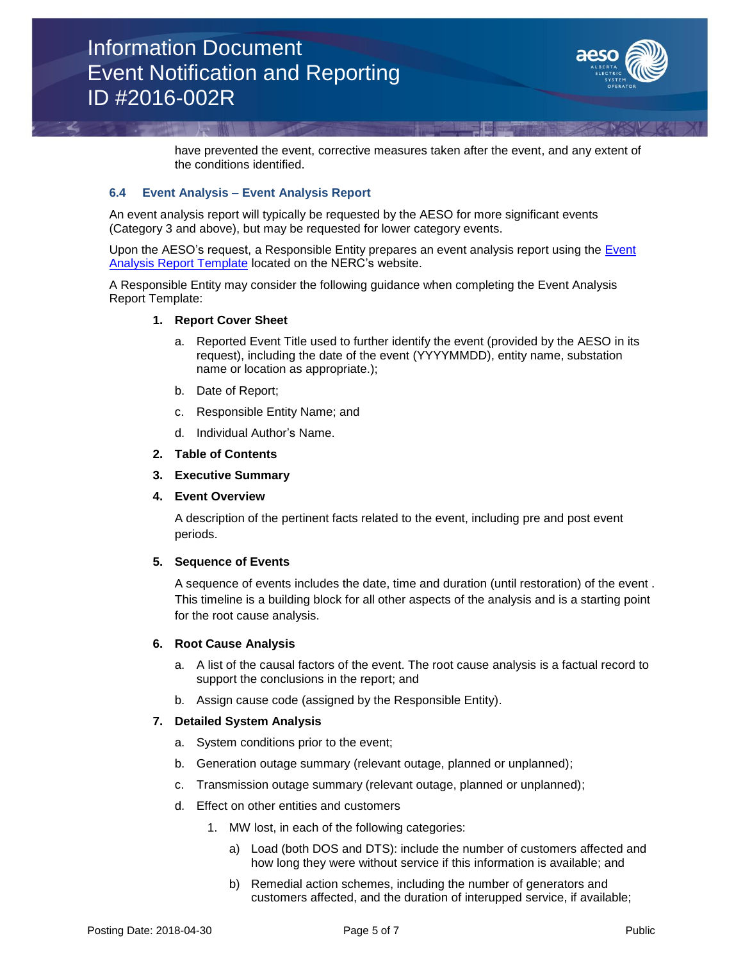

have prevented the event, corrective measures taken after the event, and any extent of the conditions identified.

# **6.4 Event Analysis – Event Analysis Report**

An event analysis report will typically be requested by the AESO for more significant events (Category 3 and above), but may be requested for lower category events.

Upon the AESO's request, a Responsible Entity prepares an event analysis report using the Event [Analysis Report Template](http://www.nerc.com/pa/rrm/ea/ERO_EAP_Documents%20DL/Clean%20Appendix%20D%20-%20Event%20Analysis%20Report%20Template%20V3.1.docx) located on the NERC's website.

A Responsible Entity may consider the following guidance when completing the Event Analysis Report Template:

#### **1. Report Cover Sheet**

- a. Reported Event Title used to further identify the event (provided by the AESO in its request), including the date of the event (YYYYMMDD), entity name, substation name or location as appropriate.);
- b. Date of Report;
- c. Responsible Entity Name; and
- d. Individual Author's Name.
- **2. Table of Contents**
- **3. Executive Summary**

#### **4. Event Overview**

A description of the pertinent facts related to the event, including pre and post event periods.

#### **5. Sequence of Events**

A sequence of events includes the date, time and duration (until restoration) of the event . This timeline is a building block for all other aspects of the analysis and is a starting point for the root cause analysis.

#### **6. Root Cause Analysis**

- a. A list of the causal factors of the event. The root cause analysis is a factual record to support the conclusions in the report; and
- b. Assign cause code (assigned by the Responsible Entity).

#### **7. Detailed System Analysis**

- a. System conditions prior to the event;
- b. Generation outage summary (relevant outage, planned or unplanned);
- c. Transmission outage summary (relevant outage, planned or unplanned);
- d. Effect on other entities and customers
	- 1. MW lost, in each of the following categories:
		- a) Load (both DOS and DTS): include the number of customers affected and how long they were without service if this information is available; and
		- b) Remedial action schemes, including the number of generators and customers affected, and the duration of interupped service, if available;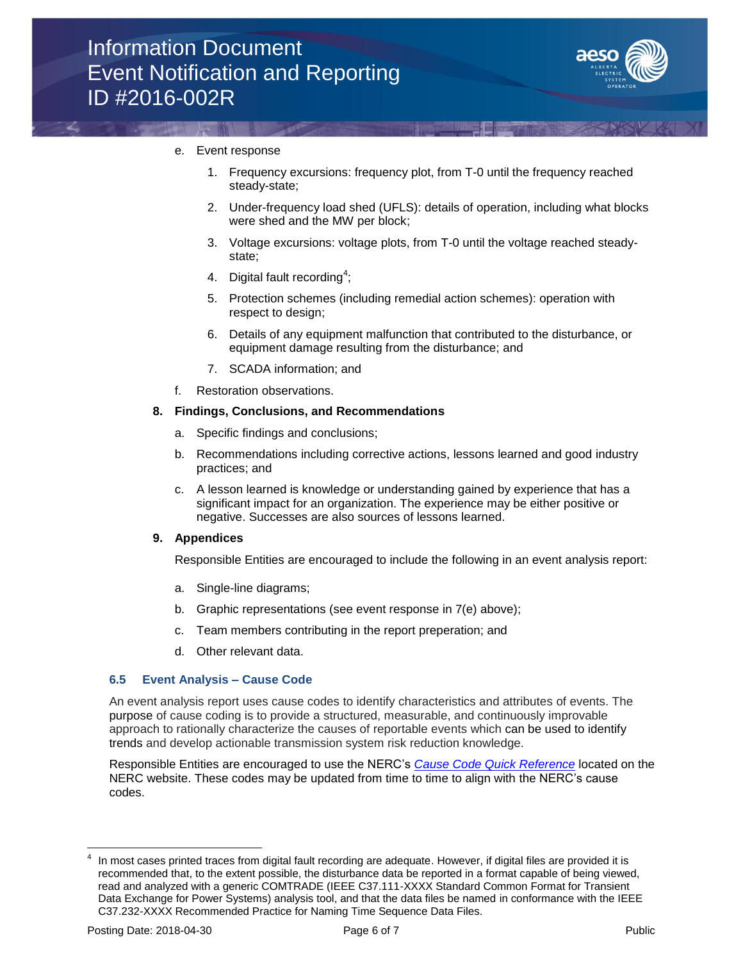

# e. Event response

- 1. Frequency excursions: frequency plot, from T-0 until the frequency reached steady-state;
- 2. Under-frequency load shed (UFLS): details of operation, including what blocks were shed and the MW per block;
- 3. Voltage excursions: voltage plots, from T-0 until the voltage reached steadystate;
- 4. Digital fault recording<sup>4</sup>;
- 5. Protection schemes (including remedial action schemes): operation with respect to design;
- 6. Details of any equipment malfunction that contributed to the disturbance, or equipment damage resulting from the disturbance; and
- 7. SCADA information; and
- f. Restoration observations.

#### **8. Findings, Conclusions, and Recommendations**

- a. Specific findings and conclusions;
- b. Recommendations including corrective actions, lessons learned and good industry practices; and
- c. A lesson learned is knowledge or understanding gained by experience that has a significant impact for an organization. The experience may be either positive or negative. Successes are also sources of lessons learned.

# **9. Appendices**

Responsible Entities are encouraged to include the following in an event analysis report:

- a. Single-line diagrams;
- b. Graphic representations (see event response in 7(e) above);
- c. Team members contributing in the report preperation; and
- d. Other relevant data.

# **6.5 Event Analysis – Cause Code**

An event analysis report uses cause codes to identify characteristics and attributes of events. The purpose of cause coding is to provide a structured, measurable, and continuously improvable approach to rationally characterize the causes of reportable events which can be used to identify trends and develop actionable transmission system risk reduction knowledge.

Responsible Entities are encouraged to use the NERC's *[Cause Code Quick Reference](https://www.nerc.com/pa/rrm/ea/EA%20Program%20Document%20Library/CCAP_Quick_Reference_Guide_2018.pdf)* located on the NERC website. These codes may be updated from time to time to align with the NERC's cause codes.

l

<sup>4</sup> In most cases printed traces from digital fault recording are adequate. However, if digital files are provided it is recommended that, to the extent possible, the disturbance data be reported in a format capable of being viewed, read and analyzed with a generic COMTRADE (IEEE C37.111-XXXX Standard Common Format for Transient Data Exchange for Power Systems) analysis tool, and that the data files be named in conformance with the IEEE C37.232-XXXX Recommended Practice for Naming Time Sequence Data Files.